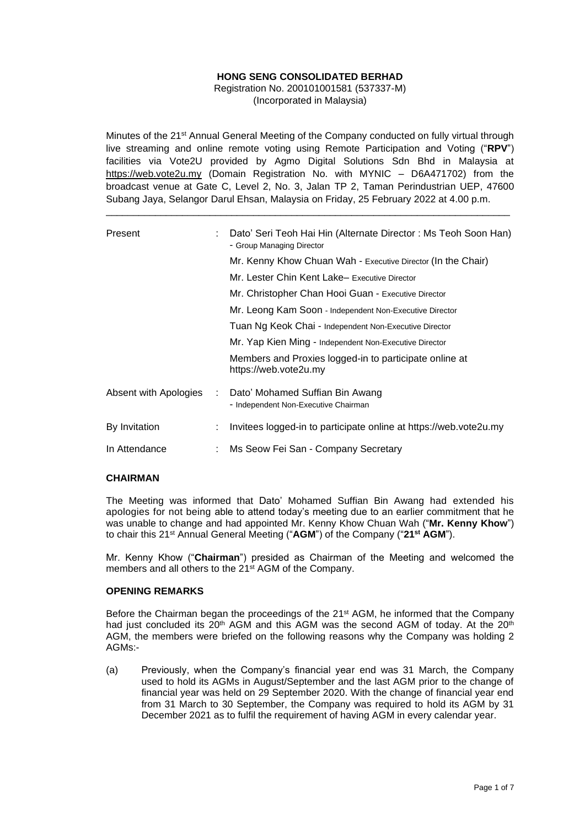# **HONG SENG CONSOLIDATED BERHAD**

Registration No. 200101001581 (537337-M) (Incorporated in Malaysia)

Minutes of the 21st Annual General Meeting of the Company conducted on fully virtual through live streaming and online remote voting using Remote Participation and Voting ("**RPV**") facilities via Vote2U provided by Agmo Digital Solutions Sdn Bhd in Malaysia at https://web.vote2u.my (Domain Registration No. with MYNIC – D6A471702) from the broadcast venue at Gate C, Level 2, No. 3, Jalan TP 2, Taman Perindustrian UEP, 47600 Subang Jaya, Selangor Darul Ehsan, Malaysia on Friday, 25 February 2022 at 4.00 p.m.

\_\_\_\_\_\_\_\_\_\_\_\_\_\_\_\_\_\_\_\_\_\_\_\_\_\_\_\_\_\_\_\_\_\_\_\_\_\_\_\_\_\_\_\_\_\_\_\_\_\_\_\_\_\_\_\_\_\_\_\_\_\_\_\_\_\_\_\_\_\_\_\_\_\_

| Present               |   | Dato' Seri Teoh Hai Hin (Alternate Director: Ms Teoh Soon Han)<br>- Group Managing Director |  |  |  |  |  |
|-----------------------|---|---------------------------------------------------------------------------------------------|--|--|--|--|--|
|                       |   | Mr. Kenny Khow Chuan Wah - Executive Director (In the Chair)                                |  |  |  |  |  |
|                       |   | Mr. Lester Chin Kent Lake– Executive Director                                               |  |  |  |  |  |
|                       |   | Mr. Christopher Chan Hooi Guan - Executive Director                                         |  |  |  |  |  |
|                       |   | Mr. Leong Kam Soon - Independent Non-Executive Director                                     |  |  |  |  |  |
|                       |   | Tuan Ng Keok Chai - Independent Non-Executive Director                                      |  |  |  |  |  |
|                       |   | Mr. Yap Kien Ming - Independent Non-Executive Director                                      |  |  |  |  |  |
|                       |   | Members and Proxies logged-in to participate online at<br>https://web.vote2u.my             |  |  |  |  |  |
| Absent with Apologies | ÷ | Dato' Mohamed Suffian Bin Awang<br>- Independent Non-Executive Chairman                     |  |  |  |  |  |
| By Invitation         | ÷ | Invitees logged-in to participate online at https://web.vote2u.my                           |  |  |  |  |  |
| In Attendance         |   | Ms Seow Fei San - Company Secretary                                                         |  |  |  |  |  |

# **CHAIRMAN**

The Meeting was informed that Dato' Mohamed Suffian Bin Awang had extended his apologies for not being able to attend today's meeting due to an earlier commitment that he was unable to change and had appointed Mr. Kenny Khow Chuan Wah ("**Mr. Kenny Khow**") to chair this 21 st Annual General Meeting ("**AGM**") of the Company ("**21st AGM**").

Mr. Kenny Khow ("**Chairman**") presided as Chairman of the Meeting and welcomed the members and all others to the 21<sup>st</sup> AGM of the Company.

## **OPENING REMARKS**

Before the Chairman began the proceedings of the  $21<sup>st</sup>$  AGM, he informed that the Company had just concluded its 20<sup>th</sup> AGM and this AGM was the second AGM of today. At the 20<sup>th</sup> AGM, the members were briefed on the following reasons why the Company was holding 2 AGMs:-

(a) Previously, when the Company's financial year end was 31 March, the Company used to hold its AGMs in August/September and the last AGM prior to the change of financial year was held on 29 September 2020. With the change of financial year end from 31 March to 30 September, the Company was required to hold its AGM by 31 December 2021 as to fulfil the requirement of having AGM in every calendar year.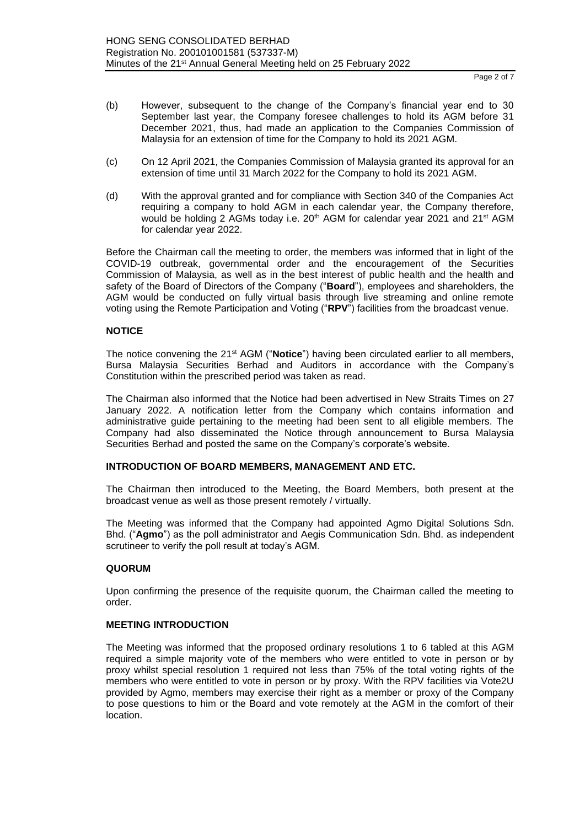Page 2 of 7

- (b) However, subsequent to the change of the Company's financial year end to 30 September last year, the Company foresee challenges to hold its AGM before 31 December 2021, thus, had made an application to the Companies Commission of Malaysia for an extension of time for the Company to hold its 2021 AGM.
- (c) On 12 April 2021, the Companies Commission of Malaysia granted its approval for an extension of time until 31 March 2022 for the Company to hold its 2021 AGM.
- (d) With the approval granted and for compliance with Section 340 of the Companies Act requiring a company to hold AGM in each calendar year, the Company therefore, would be holding 2 AGMs today i.e. 20<sup>th</sup> AGM for calendar year 2021 and 21<sup>st</sup> AGM for calendar year 2022.

Before the Chairman call the meeting to order, the members was informed that in light of the COVID-19 outbreak, governmental order and the encouragement of the Securities Commission of Malaysia, as well as in the best interest of public health and the health and safety of the Board of Directors of the Company ("**Board**"), employees and shareholders, the AGM would be conducted on fully virtual basis through live streaming and online remote voting using the Remote Participation and Voting ("**RPV**") facilities from the broadcast venue.

# **NOTICE**

The notice convening the 21<sup>st</sup> AGM ("**Notice**") having been circulated earlier to all members, Bursa Malaysia Securities Berhad and Auditors in accordance with the Company's Constitution within the prescribed period was taken as read.

The Chairman also informed that the Notice had been advertised in New Straits Times on 27 January 2022. A notification letter from the Company which contains information and administrative guide pertaining to the meeting had been sent to all eligible members. The Company had also disseminated the Notice through announcement to Bursa Malaysia Securities Berhad and posted the same on the Company's corporate's website.

# **INTRODUCTION OF BOARD MEMBERS, MANAGEMENT AND ETC.**

The Chairman then introduced to the Meeting, the Board Members, both present at the broadcast venue as well as those present remotely / virtually.

The Meeting was informed that the Company had appointed Agmo Digital Solutions Sdn. Bhd. ("**Agmo**") as the poll administrator and Aegis Communication Sdn. Bhd. as independent scrutineer to verify the poll result at today's AGM.

# **QUORUM**

Upon confirming the presence of the requisite quorum, the Chairman called the meeting to order.

### **MEETING INTRODUCTION**

The Meeting was informed that the proposed ordinary resolutions 1 to 6 tabled at this AGM required a simple majority vote of the members who were entitled to vote in person or by proxy whilst special resolution 1 required not less than 75% of the total voting rights of the members who were entitled to vote in person or by proxy. With the RPV facilities via Vote2U provided by Agmo, members may exercise their right as a member or proxy of the Company to pose questions to him or the Board and vote remotely at the AGM in the comfort of their location.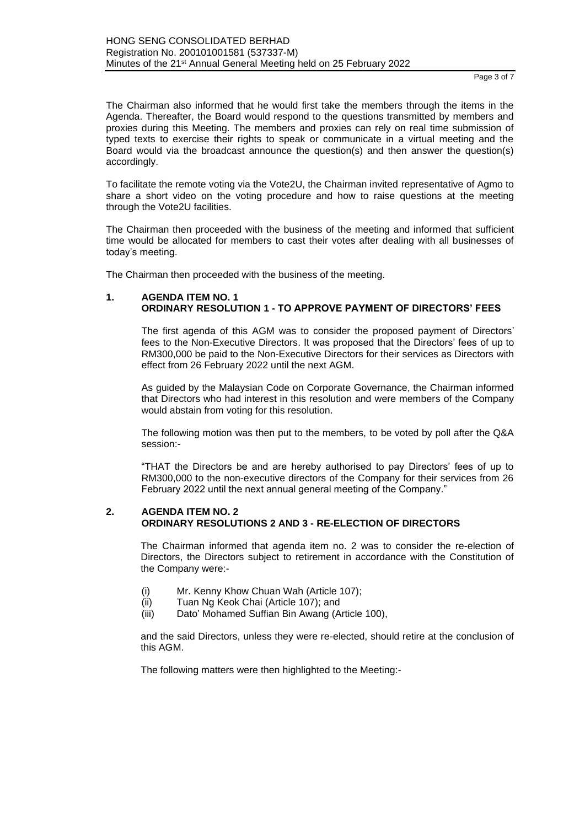Page 3 of 7

The Chairman also informed that he would first take the members through the items in the Agenda. Thereafter, the Board would respond to the questions transmitted by members and proxies during this Meeting. The members and proxies can rely on real time submission of typed texts to exercise their rights to speak or communicate in a virtual meeting and the Board would via the broadcast announce the question(s) and then answer the question(s) accordingly.

To facilitate the remote voting via the Vote2U, the Chairman invited representative of Agmo to share a short video on the voting procedure and how to raise questions at the meeting through the Vote2U facilities.

The Chairman then proceeded with the business of the meeting and informed that sufficient time would be allocated for members to cast their votes after dealing with all businesses of today's meeting.

The Chairman then proceeded with the business of the meeting.

### **1. AGENDA ITEM NO. 1 ORDINARY RESOLUTION 1 - TO APPROVE PAYMENT OF DIRECTORS' FEES**

The first agenda of this AGM was to consider the proposed payment of Directors' fees to the Non-Executive Directors. It was proposed that the Directors' fees of up to RM300,000 be paid to the Non-Executive Directors for their services as Directors with effect from 26 February 2022 until the next AGM.

As guided by the Malaysian Code on Corporate Governance, the Chairman informed that Directors who had interest in this resolution and were members of the Company would abstain from voting for this resolution.

The following motion was then put to the members, to be voted by poll after the Q&A session:-

"THAT the Directors be and are hereby authorised to pay Directors' fees of up to RM300,000 to the non-executive directors of the Company for their services from 26 February 2022 until the next annual general meeting of the Company."

#### **2. AGENDA ITEM NO. 2 ORDINARY RESOLUTIONS 2 AND 3 - RE-ELECTION OF DIRECTORS**

The Chairman informed that agenda item no. 2 was to consider the re-election of Directors, the Directors subject to retirement in accordance with the Constitution of the Company were:-

- (i) Mr. Kenny Khow Chuan Wah (Article 107);
- (ii) Tuan Ng Keok Chai (Article 107); and
- (iii) Dato' Mohamed Suffian Bin Awang (Article 100),

and the said Directors, unless they were re-elected, should retire at the conclusion of this AGM.

The following matters were then highlighted to the Meeting:-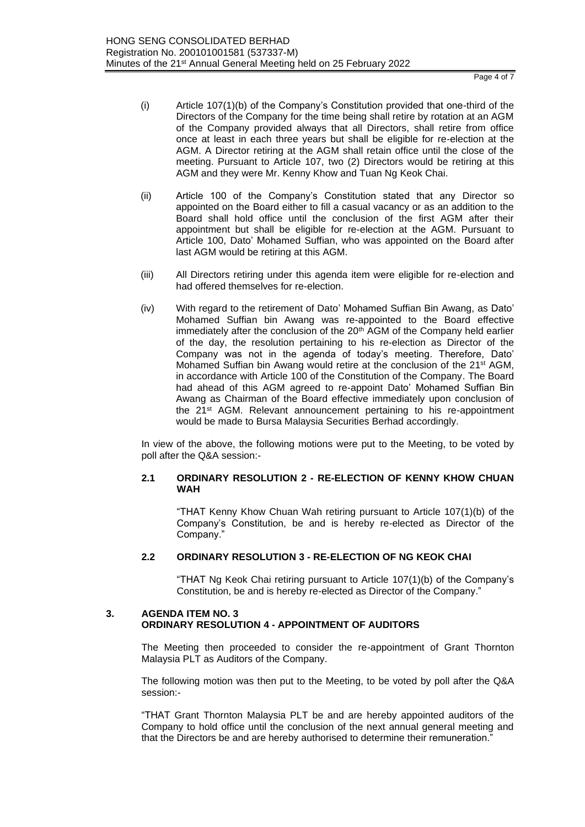Page 4 of 7

- (i) Article 107(1)(b) of the Company's Constitution provided that one-third of the Directors of the Company for the time being shall retire by rotation at an AGM of the Company provided always that all Directors, shall retire from office once at least in each three years but shall be eligible for re-election at the AGM. A Director retiring at the AGM shall retain office until the close of the meeting. Pursuant to Article 107, two (2) Directors would be retiring at this AGM and they were Mr. Kenny Khow and Tuan Ng Keok Chai.
- (ii) Article 100 of the Company's Constitution stated that any Director so appointed on the Board either to fill a casual vacancy or as an addition to the Board shall hold office until the conclusion of the first AGM after their appointment but shall be eligible for re-election at the AGM. Pursuant to Article 100, Dato' Mohamed Suffian, who was appointed on the Board after last AGM would be retiring at this AGM.
- (iii) All Directors retiring under this agenda item were eligible for re-election and had offered themselves for re-election.
- (iv) With regard to the retirement of Dato' Mohamed Suffian Bin Awang, as Dato' Mohamed Suffian bin Awang was re-appointed to the Board effective immediately after the conclusion of the 20<sup>th</sup> AGM of the Company held earlier of the day, the resolution pertaining to his re-election as Director of the Company was not in the agenda of today's meeting. Therefore, Dato' Mohamed Suffian bin Awang would retire at the conclusion of the 21st AGM, in accordance with Article 100 of the Constitution of the Company. The Board had ahead of this AGM agreed to re-appoint Dato' Mohamed Suffian Bin Awang as Chairman of the Board effective immediately upon conclusion of the 21<sup>st</sup> AGM. Relevant announcement pertaining to his re-appointment would be made to Bursa Malaysia Securities Berhad accordingly.

In view of the above, the following motions were put to the Meeting, to be voted by poll after the Q&A session:-

# **2.1 ORDINARY RESOLUTION 2 - RE-ELECTION OF KENNY KHOW CHUAN WAH**

"THAT Kenny Khow Chuan Wah retiring pursuant to Article 107(1)(b) of the Company's Constitution, be and is hereby re-elected as Director of the Company."

# **2.2 ORDINARY RESOLUTION 3 - RE-ELECTION OF NG KEOK CHAI**

"THAT Ng Keok Chai retiring pursuant to Article 107(1)(b) of the Company's Constitution, be and is hereby re-elected as Director of the Company."

# **3. AGENDA ITEM NO. 3 ORDINARY RESOLUTION 4 - APPOINTMENT OF AUDITORS**

The Meeting then proceeded to consider the re-appointment of Grant Thornton Malaysia PLT as Auditors of the Company.

The following motion was then put to the Meeting, to be voted by poll after the Q&A session:-

"THAT Grant Thornton Malaysia PLT be and are hereby appointed auditors of the Company to hold office until the conclusion of the next annual general meeting and that the Directors be and are hereby authorised to determine their remuneration."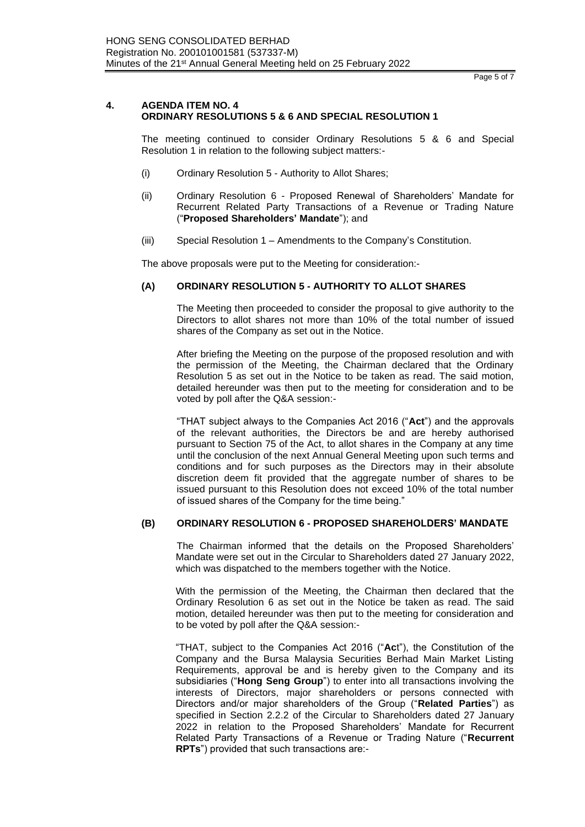Page 5 of 7

# **4. AGENDA ITEM NO. 4 ORDINARY RESOLUTIONS 5 & 6 AND SPECIAL RESOLUTION 1**

The meeting continued to consider Ordinary Resolutions 5 & 6 and Special Resolution 1 in relation to the following subject matters:-

- (i) Ordinary Resolution 5 Authority to Allot Shares;
- (ii) Ordinary Resolution 6 Proposed Renewal of Shareholders' Mandate for Recurrent Related Party Transactions of a Revenue or Trading Nature ("**Proposed Shareholders' Mandate**"); and
- (iii) Special Resolution 1 Amendments to the Company's Constitution.

The above proposals were put to the Meeting for consideration:-

# **(A) ORDINARY RESOLUTION 5 - AUTHORITY TO ALLOT SHARES**

The Meeting then proceeded to consider the proposal to give authority to the Directors to allot shares not more than 10% of the total number of issued shares of the Company as set out in the Notice.

After briefing the Meeting on the purpose of the proposed resolution and with the permission of the Meeting, the Chairman declared that the Ordinary Resolution 5 as set out in the Notice to be taken as read. The said motion, detailed hereunder was then put to the meeting for consideration and to be voted by poll after the Q&A session:-

"THAT subject always to the Companies Act 2016 ("**Act**") and the approvals of the relevant authorities, the Directors be and are hereby authorised pursuant to Section 75 of the Act, to allot shares in the Company at any time until the conclusion of the next Annual General Meeting upon such terms and conditions and for such purposes as the Directors may in their absolute discretion deem fit provided that the aggregate number of shares to be issued pursuant to this Resolution does not exceed 10% of the total number of issued shares of the Company for the time being."

# **(B) ORDINARY RESOLUTION 6 - PROPOSED SHAREHOLDERS' MANDATE**

The Chairman informed that the details on the Proposed Shareholders' Mandate were set out in the Circular to Shareholders dated 27 January 2022, which was dispatched to the members together with the Notice.

With the permission of the Meeting, the Chairman then declared that the Ordinary Resolution 6 as set out in the Notice be taken as read. The said motion, detailed hereunder was then put to the meeting for consideration and to be voted by poll after the Q&A session:-

"THAT, subject to the Companies Act 2016 ("**Ac**t"), the Constitution of the Company and the Bursa Malaysia Securities Berhad Main Market Listing Requirements, approval be and is hereby given to the Company and its subsidiaries ("**Hong Seng Group**") to enter into all transactions involving the interests of Directors, major shareholders or persons connected with Directors and/or major shareholders of the Group ("**Related Parties**") as specified in Section 2.2.2 of the Circular to Shareholders dated 27 January 2022 in relation to the Proposed Shareholders' Mandate for Recurrent Related Party Transactions of a Revenue or Trading Nature ("**Recurrent RPTs**") provided that such transactions are:-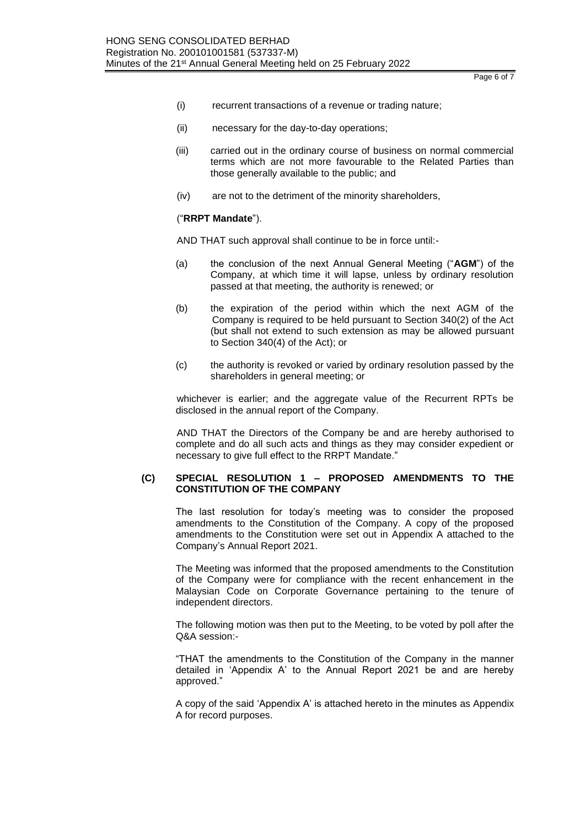Page 6 of 7

- (i) recurrent transactions of a revenue or trading nature;
- (ii) necessary for the day-to-day operations;
- (iii) carried out in the ordinary course of business on normal commercial terms which are not more favourable to the Related Parties than those generally available to the public; and
- (iv) are not to the detriment of the minority shareholders,

### ("**RRPT Mandate**").

AND THAT such approval shall continue to be in force until:-

- (a) the conclusion of the next Annual General Meeting ("**AGM**") of the Company, at which time it will lapse, unless by ordinary resolution passed at that meeting, the authority is renewed; or
- (b) the expiration of the period within which the next AGM of the Company is required to be held pursuant to Section 340(2) of the Act (but shall not extend to such extension as may be allowed pursuant to Section 340(4) of the Act); or
- (c) the authority is revoked or varied by ordinary resolution passed by the shareholders in general meeting; or

whichever is earlier; and the aggregate value of the Recurrent RPTs be disclosed in the annual report of the Company.

AND THAT the Directors of the Company be and are hereby authorised to complete and do all such acts and things as they may consider expedient or necessary to give full effect to the RRPT Mandate."

### **(C) SPECIAL RESOLUTION 1 – PROPOSED AMENDMENTS TO THE CONSTITUTION OF THE COMPANY**

The last resolution for today's meeting was to consider the proposed amendments to the Constitution of the Company. A copy of the proposed amendments to the Constitution were set out in Appendix A attached to the Company's Annual Report 2021.

The Meeting was informed that the proposed amendments to the Constitution of the Company were for compliance with the recent enhancement in the Malaysian Code on Corporate Governance pertaining to the tenure of independent directors.

The following motion was then put to the Meeting, to be voted by poll after the Q&A session:-

"THAT the amendments to the Constitution of the Company in the manner detailed in 'Appendix A' to the Annual Report 2021 be and are hereby approved."

A copy of the said 'Appendix A' is attached hereto in the minutes as Appendix A for record purposes.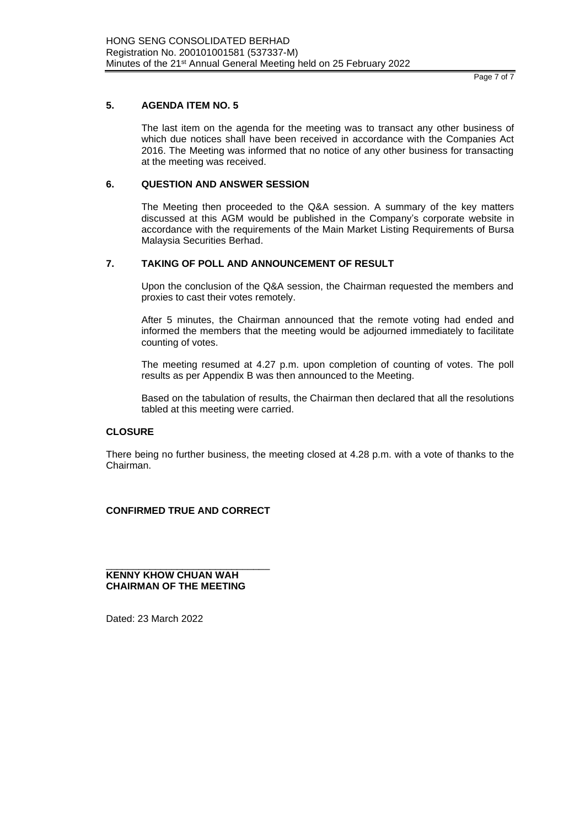#### Page 7 of 7

# **5. AGENDA ITEM NO. 5**

The last item on the agenda for the meeting was to transact any other business of which due notices shall have been received in accordance with the Companies Act 2016. The Meeting was informed that no notice of any other business for transacting at the meeting was received.

# **6. QUESTION AND ANSWER SESSION**

The Meeting then proceeded to the Q&A session. A summary of the key matters discussed at this AGM would be published in the Company's corporate website in accordance with the requirements of the Main Market Listing Requirements of Bursa Malaysia Securities Berhad.

# **7. TAKING OF POLL AND ANNOUNCEMENT OF RESULT**

Upon the conclusion of the Q&A session, the Chairman requested the members and proxies to cast their votes remotely.

After 5 minutes, the Chairman announced that the remote voting had ended and informed the members that the meeting would be adjourned immediately to facilitate counting of votes.

The meeting resumed at 4.27 p.m. upon completion of counting of votes. The poll results as per Appendix B was then announced to the Meeting.

Based on the tabulation of results, the Chairman then declared that all the resolutions tabled at this meeting were carried.

### **CLOSURE**

There being no further business, the meeting closed at 4.28 p.m. with a vote of thanks to the Chairman.

## **CONFIRMED TRUE AND CORRECT**

\_\_\_\_\_\_\_\_\_\_\_\_\_\_\_\_\_\_\_\_\_\_\_\_\_\_\_\_\_\_ **KENNY KHOW CHUAN WAH CHAIRMAN OF THE MEETING**

Dated: 23 March 2022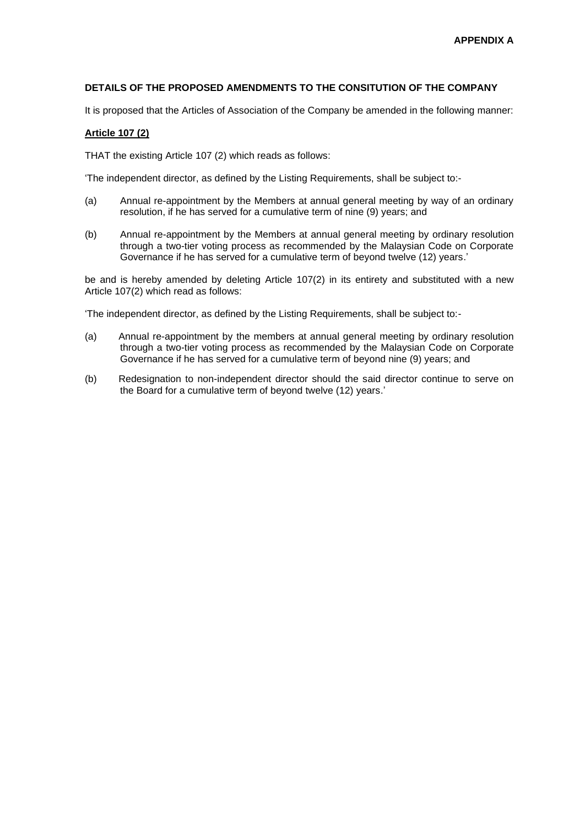# **DETAILS OF THE PROPOSED AMENDMENTS TO THE CONSITUTION OF THE COMPANY**

It is proposed that the Articles of Association of the Company be amended in the following manner:

## **Article 107 (2)**

THAT the existing Article 107 (2) which reads as follows:

'The independent director, as defined by the Listing Requirements, shall be subject to:-

- (a) Annual re-appointment by the Members at annual general meeting by way of an ordinary resolution, if he has served for a cumulative term of nine (9) years; and
- (b) Annual re-appointment by the Members at annual general meeting by ordinary resolution through a two-tier voting process as recommended by the Malaysian Code on Corporate Governance if he has served for a cumulative term of beyond twelve (12) years.'

be and is hereby amended by deleting Article 107(2) in its entirety and substituted with a new Article 107(2) which read as follows:

'The independent director, as defined by the Listing Requirements, shall be subject to:-

- (a) Annual re-appointment by the members at annual general meeting by ordinary resolution through a two-tier voting process as recommended by the Malaysian Code on Corporate Governance if he has served for a cumulative term of beyond nine (9) years; and
- (b) Redesignation to non-independent director should the said director continue to serve on the Board for a cumulative term of beyond twelve (12) years.'